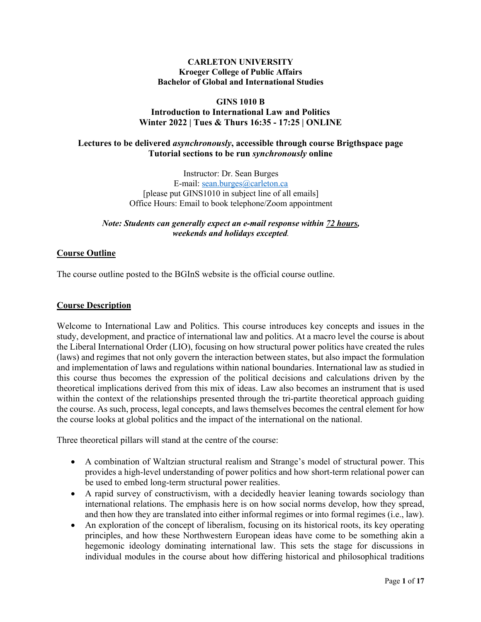# **CARLETON UNIVERSITY Kroeger College of Public Affairs Bachelor of Global and International Studies**

# **GINS 1010 B Introduction to International Law and Politics Winter 2022 | Tues & Thurs 16:35 - 17:25 | ONLINE**

# **Lectures to be delivered** *asynchronously***, accessible through course Brigthspace page Tutorial sections to be run** *synchronously* **online**

Instructor: Dr. Sean Burges E-mail: sean.burges@carleton.ca [please put GINS1010 in subject line of all emails] Office Hours: Email to book telephone/Zoom appointment

#### *Note: Students can generally expect an e-mail response within 72 hours, weekends and holidays excepted.*

# **Course Outline**

The course outline posted to the BGInS website is the official course outline.

#### **Course Description**

Welcome to International Law and Politics. This course introduces key concepts and issues in the study, development, and practice of international law and politics. At a macro level the course is about the Liberal International Order (LIO), focusing on how structural power politics have created the rules (laws) and regimes that not only govern the interaction between states, but also impact the formulation and implementation of laws and regulations within national boundaries. International law as studied in this course thus becomes the expression of the political decisions and calculations driven by the theoretical implications derived from this mix of ideas. Law also becomes an instrument that is used within the context of the relationships presented through the tri-partite theoretical approach guiding the course. As such, process, legal concepts, and laws themselves becomes the central element for how the course looks at global politics and the impact of the international on the national.

Three theoretical pillars will stand at the centre of the course:

- A combination of Waltzian structural realism and Strange's model of structural power. This provides a high-level understanding of power politics and how short-term relational power can be used to embed long-term structural power realities.
- A rapid survey of constructivism, with a decidedly heavier leaning towards sociology than international relations. The emphasis here is on how social norms develop, how they spread, and then how they are translated into either informal regimes or into formal regimes (i.e., law).
- An exploration of the concept of liberalism, focusing on its historical roots, its key operating principles, and how these Northwestern European ideas have come to be something akin a hegemonic ideology dominating international law. This sets the stage for discussions in individual modules in the course about how differing historical and philosophical traditions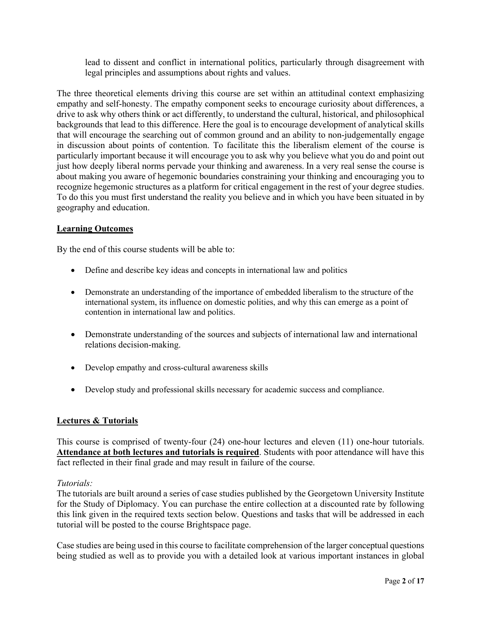lead to dissent and conflict in international politics, particularly through disagreement with legal principles and assumptions about rights and values.

The three theoretical elements driving this course are set within an attitudinal context emphasizing empathy and self-honesty. The empathy component seeks to encourage curiosity about differences, a drive to ask why others think or act differently, to understand the cultural, historical, and philosophical backgrounds that lead to this difference. Here the goal is to encourage development of analytical skills that will encourage the searching out of common ground and an ability to non-judgementally engage in discussion about points of contention. To facilitate this the liberalism element of the course is particularly important because it will encourage you to ask why you believe what you do and point out just how deeply liberal norms pervade your thinking and awareness. In a very real sense the course is about making you aware of hegemonic boundaries constraining your thinking and encouraging you to recognize hegemonic structures as a platform for critical engagement in the rest of your degree studies. To do this you must first understand the reality you believe and in which you have been situated in by geography and education.

# **Learning Outcomes**

By the end of this course students will be able to:

- Define and describe key ideas and concepts in international law and politics
- Demonstrate an understanding of the importance of embedded liberalism to the structure of the international system, its influence on domestic polities, and why this can emerge as a point of contention in international law and politics.
- Demonstrate understanding of the sources and subjects of international law and international relations decision-making.
- Develop empathy and cross-cultural awareness skills
- Develop study and professional skills necessary for academic success and compliance.

#### **Lectures & Tutorials**

This course is comprised of twenty-four (24) one-hour lectures and eleven (11) one-hour tutorials. **Attendance at both lectures and tutorials is required**. Students with poor attendance will have this fact reflected in their final grade and may result in failure of the course.

#### *Tutorials:*

The tutorials are built around a series of case studies published by the Georgetown University Institute for the Study of Diplomacy. You can purchase the entire collection at a discounted rate by following this link given in the required texts section below. Questions and tasks that will be addressed in each tutorial will be posted to the course Brightspace page.

Case studies are being used in this course to facilitate comprehension of the larger conceptual questions being studied as well as to provide you with a detailed look at various important instances in global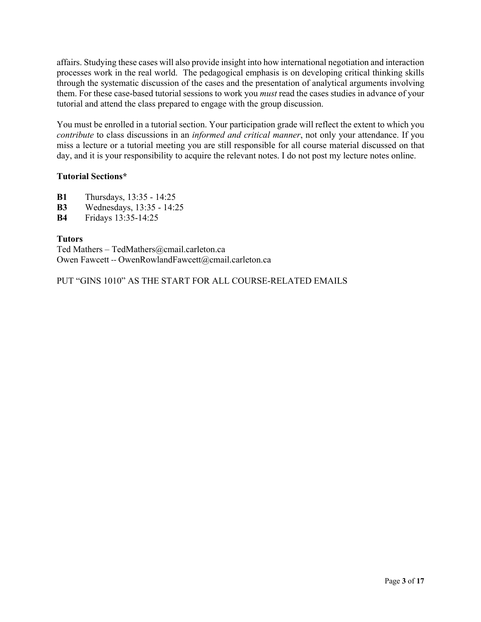affairs. Studying these cases will also provide insight into how international negotiation and interaction processes work in the real world. The pedagogical emphasis is on developing critical thinking skills through the systematic discussion of the cases and the presentation of analytical arguments involving them. For these case-based tutorial sessions to work you *must* read the cases studies in advance of your tutorial and attend the class prepared to engage with the group discussion.

You must be enrolled in a tutorial section. Your participation grade will reflect the extent to which you *contribute* to class discussions in an *informed and critical manner*, not only your attendance. If you miss a lecture or a tutorial meeting you are still responsible for all course material discussed on that day, and it is your responsibility to acquire the relevant notes. I do not post my lecture notes online.

# **Tutorial Sections\***

- **B1** Thursdays, 13:35 14:25
- **B3** Wednesdays, 13:35 14:25
- **B4** Fridays 13:35-14:25

# **Tutors**

Ted Mathers – TedMathers@cmail.carleton.ca Owen Fawcett -- OwenRowlandFawcett@cmail.carleton.ca

PUT "GINS 1010" AS THE START FOR ALL COURSE-RELATED EMAILS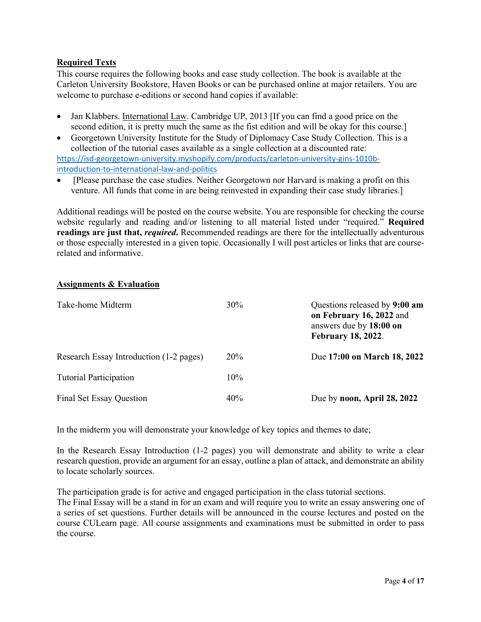# **Required Texts**

This course requires the following books and case study collection. The book is available at the Carleton University Bookstore, Haven Books or can be purchased online at major retailers. You are welcome to purchase e-editions or second hand copies if available:

- Jan Klabbers. International Law. Cambridge UP, 2013 [If you can find a good price on the second edition, it is pretty much the same as the fist edition and will be okay for this course.]
- Georgetown University Institute for the Study of Diplomacy Case Study Collection. This is a collection of the tutorial cases available as a single collection at a discounted rate: https://isd-georgetown-university.myshopify.com/products/carleton-university-gins-1010bintroduction-to-international-law-and-politics
- [Please purchase the case studies. Neither Georgetown nor Harvard is making a profit on this venture. All funds that come in are being reinvested in expanding their case study libraries.]

Additional readings will be posted on the course website. You are responsible for checking the course website regularly and reading and/or listening to all material listed under "required." **Required readings are just that,** *required***.** Recommended readings are there for the intellectually adventurous or those especially interested in a given topic. Occasionally I will post articles or links that are courserelated and informative.

# **Assignments & Evaluation**

| Take-home Midterm                       | 30%        | Questions released by 9:00 am<br>on February 16, 2022 and<br>answers due by 18:00 on<br><b>February 18, 2022.</b> |
|-----------------------------------------|------------|-------------------------------------------------------------------------------------------------------------------|
| Research Essay Introduction (1-2 pages) | <b>20%</b> | Due 17:00 on March 18, 2022                                                                                       |
| <b>Tutorial Participation</b>           | $10\%$     |                                                                                                                   |
| <b>Final Set Essay Question</b>         | 40%        | Due by noon, April 28, 2022                                                                                       |

In the midterm you will demonstrate your knowledge of key topics and themes to date;

In the Research Essay Introduction (1-2 pages) you will demonstrate and ability to write a clear research question, provide an argument for an essay, outline a plan of attack, and demonstrate an ability to locate scholarly sources.

The participation grade is for active and engaged participation in the class tutorial sections. The Final Essay will be a stand in for an exam and will require you to write an essay answering one of

a series of set questions. Further details will be announced in the course lectures and posted on the course CULearn page. All course assignments and examinations must be submitted in order to pass the course.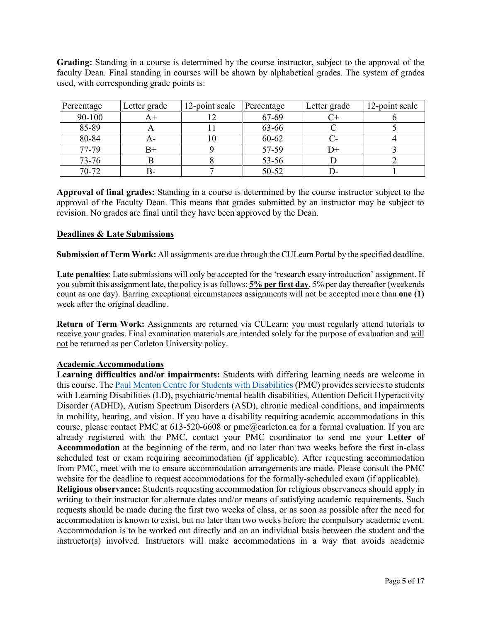**Grading:** Standing in a course is determined by the course instructor, subject to the approval of the faculty Dean. Final standing in courses will be shown by alphabetical grades. The system of grades used, with corresponding grade points is:

| Percentage | Letter grade | 12-point scale Percentage |           | Letter grade | 12-point scale |
|------------|--------------|---------------------------|-----------|--------------|----------------|
| 90-100     |              |                           | 67-69     |              |                |
| 85-89      |              |                           | 63-66     |              |                |
| 80-84      |              | ш                         | $60 - 62$ |              |                |
| 77-79      |              |                           | 57-59     |              |                |
| 73-76      |              |                           | 53-56     |              |                |
| 70-72      | В-           |                           | 50-52     |              |                |

**Approval of final grades:** Standing in a course is determined by the course instructor subject to the approval of the Faculty Dean. This means that grades submitted by an instructor may be subject to revision. No grades are final until they have been approved by the Dean.

# **Deadlines & Late Submissions**

**Submission of Term Work:** All assignments are due through the CULearn Portal by the specified deadline.

**Late penalties**: Late submissions will only be accepted for the 'research essay introduction' assignment. If you submit this assignment late, the policy is as follows: **5% per first day**, 5% per day thereafter (weekends count as one day). Barring exceptional circumstances assignments will not be accepted more than **one (1)** week after the original deadline.

**Return of Term Work:** Assignments are returned via CULearn; you must regularly attend tutorials to receive your grades. Final examination materials are intended solely for the purpose of evaluation and will not be returned as per Carleton University policy.

#### **Academic Accommodations**

**Learning difficulties and/or impairments:** Students with differing learning needs are welcome in this course. The Paul Menton Centre for Students with Disabilities (PMC) provides services to students with Learning Disabilities (LD), psychiatric/mental health disabilities, Attention Deficit Hyperactivity Disorder (ADHD), Autism Spectrum Disorders (ASD), chronic medical conditions, and impairments in mobility, hearing, and vision. If you have a disability requiring academic accommodations in this course, please contact PMC at 613-520-6608 or pmc@carleton.ca for a formal evaluation. If you are already registered with the PMC, contact your PMC coordinator to send me your **Letter of Accommodation** at the beginning of the term, and no later than two weeks before the first in-class scheduled test or exam requiring accommodation (if applicable). After requesting accommodation from PMC, meet with me to ensure accommodation arrangements are made. Please consult the PMC website for the deadline to request accommodations for the formally-scheduled exam (if applicable).

**Religious observance:** Students requesting accommodation for religious observances should apply in writing to their instructor for alternate dates and/or means of satisfying academic requirements. Such requests should be made during the first two weeks of class, or as soon as possible after the need for accommodation is known to exist, but no later than two weeks before the compulsory academic event. Accommodation is to be worked out directly and on an individual basis between the student and the instructor(s) involved. Instructors will make accommodations in a way that avoids academic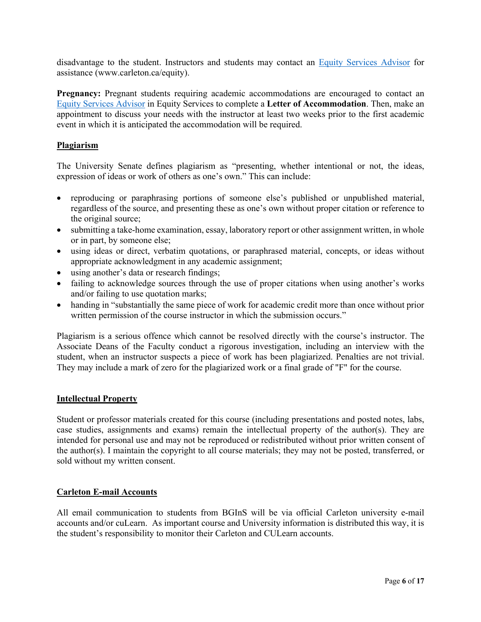disadvantage to the student. Instructors and students may contact an Equity Services Advisor for assistance (www.carleton.ca/equity).

**Pregnancy:** Pregnant students requiring academic accommodations are encouraged to contact an Equity Services Advisor in Equity Services to complete a **Letter of Accommodation**. Then, make an appointment to discuss your needs with the instructor at least two weeks prior to the first academic event in which it is anticipated the accommodation will be required.

# **Plagiarism**

The University Senate defines plagiarism as "presenting, whether intentional or not, the ideas, expression of ideas or work of others as one's own." This can include:

- reproducing or paraphrasing portions of someone else's published or unpublished material, regardless of the source, and presenting these as one's own without proper citation or reference to the original source;
- submitting a take-home examination, essay, laboratory report or other assignment written, in whole or in part, by someone else;
- using ideas or direct, verbatim quotations, or paraphrased material, concepts, or ideas without appropriate acknowledgment in any academic assignment;
- using another's data or research findings;
- failing to acknowledge sources through the use of proper citations when using another's works and/or failing to use quotation marks;
- handing in "substantially the same piece of work for academic credit more than once without prior written permission of the course instructor in which the submission occurs."

Plagiarism is a serious offence which cannot be resolved directly with the course's instructor. The Associate Deans of the Faculty conduct a rigorous investigation, including an interview with the student, when an instructor suspects a piece of work has been plagiarized. Penalties are not trivial. They may include a mark of zero for the plagiarized work or a final grade of "F" for the course.

#### **Intellectual Property**

Student or professor materials created for this course (including presentations and posted notes, labs, case studies, assignments and exams) remain the intellectual property of the author(s). They are intended for personal use and may not be reproduced or redistributed without prior written consent of the author(s). I maintain the copyright to all course materials; they may not be posted, transferred, or sold without my written consent.

#### **Carleton E-mail Accounts**

All email communication to students from BGInS will be via official Carleton university e-mail accounts and/or cuLearn. As important course and University information is distributed this way, it is the student's responsibility to monitor their Carleton and CULearn accounts.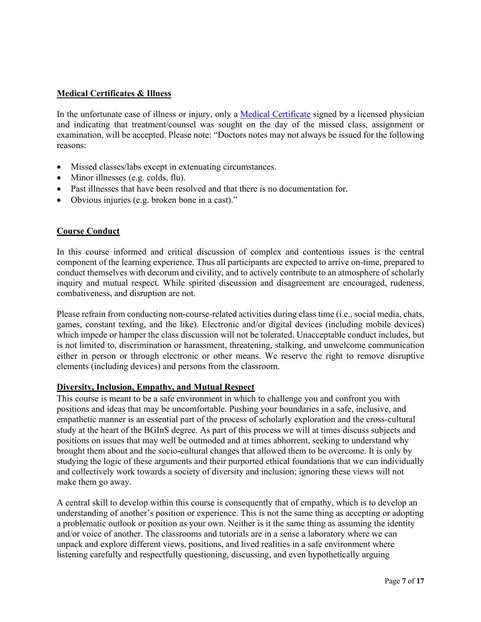# **Medical Certificates & Illness**

In the unfortunate case of illness or injury, only a <u>Medical Certificate</u> signed by a licensed physician and indicating that treatment/counsel was sought on the day of the missed class, assignment or examination, will be accepted. Please note: "Doctors notes may not always be issued for the following reasons:

- Missed classes/labs except in extenuating circumstances.
- Minor illnesses (e.g. colds, flu).
- Past illnesses that have been resolved and that there is no documentation for.
- Obvious injuries (e.g. broken bone in a cast)."

# **Course Conduct**

In this course informed and critical discussion of complex and contentious issues is the central component of the learning experience. Thus all participants are expected to arrive on-time, prepared to conduct themselves with decorum and civility, and to actively contribute to an atmosphere of scholarly inquiry and mutual respect. While spirited discussion and disagreement are encouraged, rudeness, combativeness, and disruption are not.

Please refrain from conducting non-course-related activities during class time (i.e., social media, chats, games, constant texting, and the like). Electronic and/or digital devices (including mobile devices) which impede or hamper the class discussion will not be tolerated. Unacceptable conduct includes, but is not limited to, discrimination or harassment, threatening, stalking, and unwelcome communication either in person or through electronic or other means. We reserve the right to remove disruptive elements (including devices) and persons from the classroom.

#### **Diversity, Inclusion, Empathy, and Mutual Respect**

This course is meant to be a safe environment in which to challenge you and confront you with positions and ideas that may be uncomfortable. Pushing your boundaries in a safe, inclusive, and empathetic manner is an essential part of the process of scholarly exploration and the cross-cultural study at the heart of the BGInS degree. As part of this process we will at times discuss subjects and positions on issues that may well be outmoded and at times abhorrent, seeking to understand why brought them about and the socio-cultural changes that allowed them to be overcome. It is only by studying the logic of these arguments and their purported ethical foundations that we can individually and collectively work towards a society of diversity and inclusion; ignoring these views will not make them go away.

A central skill to develop within this course is consequently that of empathy, which is to develop an understanding of another's position or experience. This is not the same thing as accepting or adopting a problematic outlook or position as your own. Neither is it the same thing as assuming the identity and/or voice of another. The classrooms and tutorials are in a sense a laboratory where we can unpack and explore different views, positions, and lived realities in a safe environment where listening carefully and respectfully questioning, discussing, and even hypothetically arguing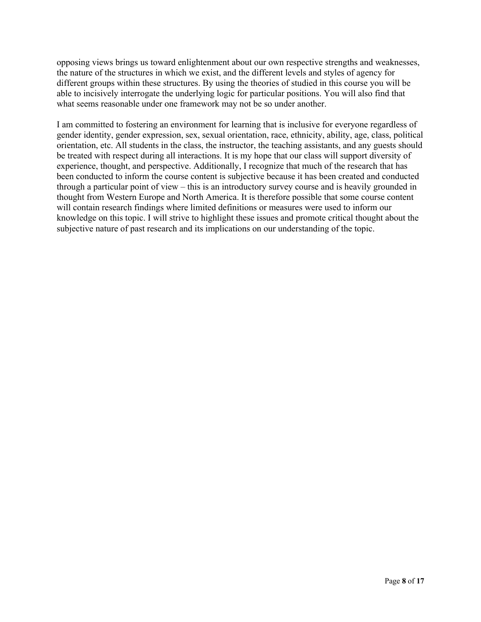opposing views brings us toward enlightenment about our own respective strengths and weaknesses, the nature of the structures in which we exist, and the different levels and styles of agency for different groups within these structures. By using the theories of studied in this course you will be able to incisively interrogate the underlying logic for particular positions. You will also find that what seems reasonable under one framework may not be so under another.

I am committed to fostering an environment for learning that is inclusive for everyone regardless of gender identity, gender expression, sex, sexual orientation, race, ethnicity, ability, age, class, political orientation, etc. All students in the class, the instructor, the teaching assistants, and any guests should be treated with respect during all interactions. It is my hope that our class will support diversity of experience, thought, and perspective. Additionally, I recognize that much of the research that has been conducted to inform the course content is subjective because it has been created and conducted through a particular point of view – this is an introductory survey course and is heavily grounded in thought from Western Europe and North America. It is therefore possible that some course content will contain research findings where limited definitions or measures were used to inform our knowledge on this topic. I will strive to highlight these issues and promote critical thought about the subjective nature of past research and its implications on our understanding of the topic.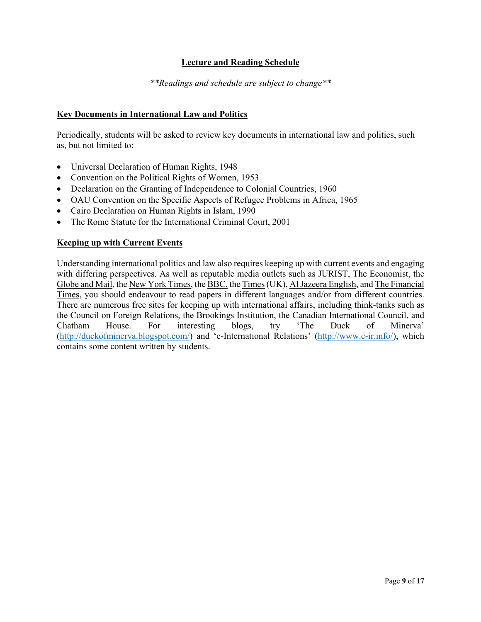# **Lecture and Reading Schedule**

*\*\*Readings and schedule are subject to change\*\**

# **Key Documents in International Law and Politics**

Periodically, students will be asked to review key documents in international law and politics, such as, but not limited to:

- Universal Declaration of Human Rights, 1948
- Convention on the Political Rights of Women, 1953
- Declaration on the Granting of Independence to Colonial Countries, 1960
- OAU Convention on the Specific Aspects of Refugee Problems in Africa, 1965
- Cairo Declaration on Human Rights in Islam, 1990
- The Rome Statute for the International Criminal Court, 2001

#### **Keeping up with Current Events**

Understanding international politics and law also requires keeping up with current events and engaging with differing perspectives. As well as reputable media outlets such as JURIST, The Economist, the Globe and Mail, the New York Times, the BBC, the Times(UK), Al Jazeera English, and The Financial Times, you should endeavour to read papers in different languages and/or from different countries. There are numerous free sites for keeping up with international affairs, including think-tanks such as the Council on Foreign Relations, the Brookings Institution, the Canadian International Council, and Chatham House. For interesting blogs, try 'The Duck of Minerva' (http://duckofminerva.blogspot.com/) and 'e-International Relations' (http://www.e-ir.info/), which contains some content written by students.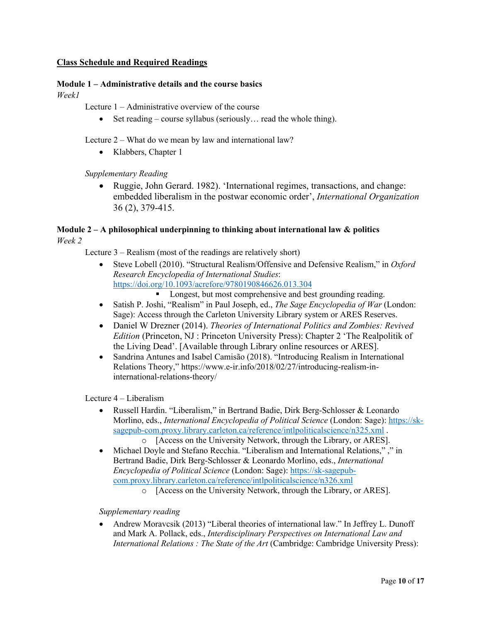# **Class Schedule and Required Readings**

## **Module 1 – Administrative details and the course basics**

*Week1*

Lecture 1 – Administrative overview of the course

• Set reading – course syllabus (seriously... read the whole thing).

Lecture 2 – What do we mean by law and international law?

• Klabbers, Chapter 1

*Supplementary Reading*

• Ruggie, John Gerard. 1982). 'International regimes, transactions, and change: embedded liberalism in the postwar economic order', *International Organization* 36 (2), 379-415.

# **Module 2 – A philosophical underpinning to thinking about international law & politics**

*Week 2*

Lecture 3 – Realism (most of the readings are relatively short)

- Steve Lobell (2010). "Structural Realism/Offensive and Defensive Realism," in *Oxford Research Encyclopedia of International Studies*: https://doi.org/10.1093/acrefore/9780190846626.013.304
	- Longest, but most comprehensive and best grounding reading.
- Satish P. Joshi, "Realism" in Paul Joseph, ed., *The Sage Encyclopedia of War* (London: Sage): Access through the Carleton University Library system or ARES Reserves.
- Daniel W Drezner (2014). *Theories of International Politics and Zombies: Revived Edition* (Princeton, NJ : Princeton University Press): Chapter 2 'The Realpolitik of the Living Dead'. [Available through Library online resources or ARES].
- Sandrina Antunes and Isabel Camisão (2018). "Introducing Realism in International Relations Theory," https://www.e-ir.info/2018/02/27/introducing-realism-ininternational-relations-theory/

Lecture 4 – Liberalism

- Russell Hardin. "Liberalism," in Bertrand Badie, Dirk Berg-Schlosser & Leonardo Morlino, eds., *International Encyclopedia of Political Science* (London: Sage): https://sksagepub-com.proxy.library.carleton.ca/reference/intlpoliticalscience/n325.xml.
	- o [Access on the University Network, through the Library, or ARES].
- Michael Doyle and Stefano Recchia. "Liberalism and International Relations," ," in Bertrand Badie, Dirk Berg-Schlosser & Leonardo Morlino, eds., *International Encyclopedia of Political Science* (London: Sage): https://sk-sagepubcom.proxy.library.carleton.ca/reference/intlpoliticalscience/n326.xml
	- o [Access on the University Network, through the Library, or ARES].

*Supplementary reading*

• Andrew Moravcsik (2013) "Liberal theories of international law." In Jeffrey L. Dunoff and Mark A. Pollack, eds., *Interdisciplinary Perspectives on International Law and International Relations : The State of the Art* (Cambridge: Cambridge University Press):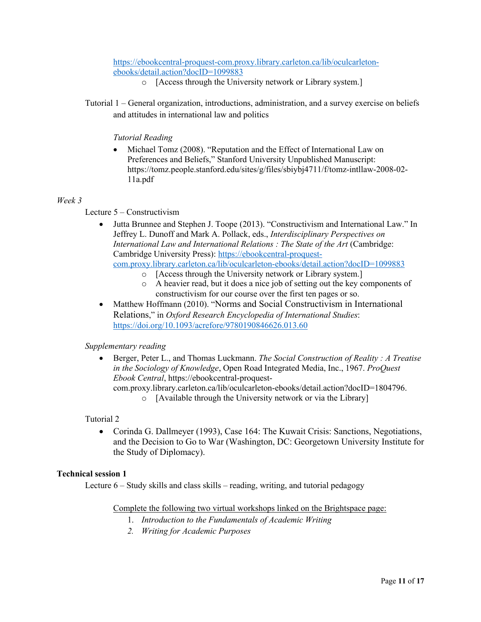## https://ebookcentral-proquest-com.proxy.library.carleton.ca/lib/oculcarletonebooks/detail.action?docID=1099883

- o [Access through the University network or Library system.]
- Tutorial 1 General organization, introductions, administration, and a survey exercise on beliefs and attitudes in international law and politics

## *Tutorial Reading*

• Michael Tomz (2008). "Reputation and the Effect of International Law on Preferences and Beliefs," Stanford University Unpublished Manuscript: https://tomz.people.stanford.edu/sites/g/files/sbiybj4711/f/tomz-intllaw-2008-02- 11a.pdf

#### *Week 3*

Lecture 5 – Constructivism

- Jutta Brunnee and Stephen J. Toope (2013). "Constructivism and International Law." In Jeffrey L. Dunoff and Mark A. Pollack, eds., *Interdisciplinary Perspectives on International Law and International Relations : The State of the Art* (Cambridge: Cambridge University Press): https://ebookcentral-proquestcom.proxy.library.carleton.ca/lib/oculcarleton-ebooks/detail.action?docID=1099883
	- o [Access through the University network or Library system.]
	- o A heavier read, but it does a nice job of setting out the key components of constructivism for our course over the first ten pages or so.
- Matthew Hoffmann (2010). "Norms and Social Constructivism in International Relations," in *Oxford Research Encyclopedia of International Studies*: https://doi.org/10.1093/acrefore/9780190846626.013.60

#### *Supplementary reading*

• Berger, Peter L., and Thomas Luckmann. *The Social Construction of Reality : A Treatise in the Sociology of Knowledge*, Open Road Integrated Media, Inc., 1967. *ProQuest Ebook Central*, https://ebookcentral-proquest-

com.proxy.library.carleton.ca/lib/oculcarleton-ebooks/detail.action?docID=1804796.

o [Available through the University network or via the Library]

#### Tutorial 2

• Corinda G. Dallmeyer (1993), Case 164: The Kuwait Crisis: Sanctions, Negotiations, and the Decision to Go to War (Washington, DC: Georgetown University Institute for the Study of Diplomacy).

#### **Technical session 1**

Lecture 6 – Study skills and class skills – reading, writing, and tutorial pedagogy

#### Complete the following two virtual workshops linked on the Brightspace page:

- 1. *Introduction to the Fundamentals of Academic Writing*
- *2. Writing for Academic Purposes*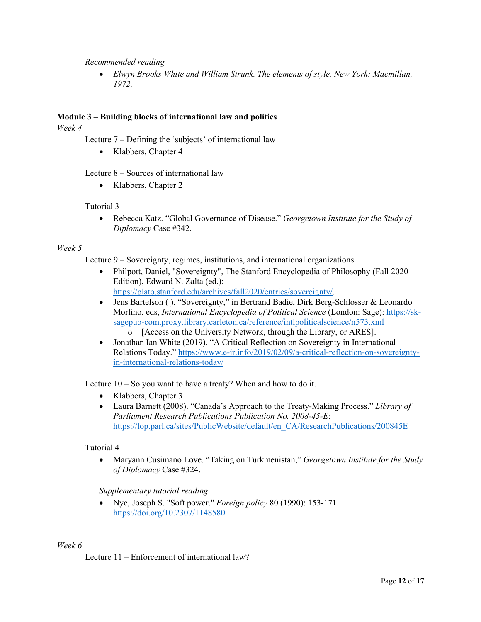#### *Recommended reading*

• *Elwyn Brooks White and William Strunk. The elements of style. New York: Macmillan, 1972.*

## **Module 3 – Building blocks of international law and politics**

*Week 4*

Lecture 7 – Defining the 'subjects' of international law

• Klabbers, Chapter 4

Lecture 8 – Sources of international law

• Klabbers, Chapter 2

#### Tutorial 3

• Rebecca Katz. "Global Governance of Disease." *Georgetown Institute for the Study of Diplomacy* Case #342.

#### *Week 5*

Lecture 9 – Sovereignty, regimes, institutions, and international organizations

- Philpott, Daniel, "Sovereignty", The Stanford Encyclopedia of Philosophy (Fall 2020 Edition), Edward N. Zalta (ed.): https://plato.stanford.edu/archives/fall2020/entries/sovereignty/.
- Jens Bartelson ( ). "Sovereignty," in Bertrand Badie, Dirk Berg-Schlosser & Leonardo Morlino, eds, *International Encyclopedia of Political Science* (London: Sage): https://sksagepub-com.proxy.library.carleton.ca/reference/intlpoliticalscience/n573.xml
	- o [Access on the University Network, through the Library, or ARES].
- Jonathan Ian White (2019). "A Critical Reflection on Sovereignty in International Relations Today." https://www.e-ir.info/2019/02/09/a-critical-reflection-on-sovereigntyin-international-relations-today/

Lecture 10 – So you want to have a treaty? When and how to do it.

- Klabbers, Chapter 3
- Laura Barnett (2008). "Canada's Approach to the Treaty-Making Process." *Library of Parliament Research Publications Publication No. 2008-45-E*: https://lop.parl.ca/sites/PublicWebsite/default/en\_CA/ResearchPublications/200845E

#### Tutorial 4

• Maryann Cusimano Love. "Taking on Turkmenistan," *Georgetown Institute for the Study of Diplomacy* Case #324.

*Supplementary tutorial reading*

• Nye, Joseph S. "Soft power." *Foreign policy* 80 (1990): 153-171. https://doi.org/10.2307/1148580

#### *Week 6*

Lecture 11 – Enforcement of international law?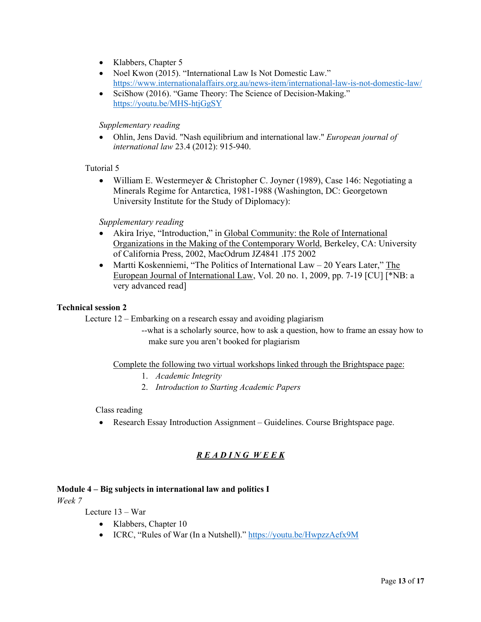- Klabbers, Chapter 5
- Noel Kwon (2015). "International Law Is Not Domestic Law." https://www.internationalaffairs.org.au/news-item/international-law-is-not-domestic-law/
- SciShow (2016). "Game Theory: The Science of Decision-Making." https://youtu.be/MHS-htjGgSY

#### *Supplementary reading*

• Ohlin, Jens David. "Nash equilibrium and international law." *European journal of international law* 23.4 (2012): 915-940.

#### Tutorial 5

• William E. Westermeyer & Christopher C. Joyner (1989), Case 146: Negotiating a Minerals Regime for Antarctica, 1981-1988 (Washington, DC: Georgetown University Institute for the Study of Diplomacy):

#### *Supplementary reading*

- Akira Iriye, "Introduction," in Global Community: the Role of International Organizations in the Making of the Contemporary World, Berkeley, CA: University of California Press, 2002, MacOdrum JZ4841 .I75 2002
- Martti Koskenniemi, "The Politics of International Law  $-$  20 Years Later," The European Journal of International Law, Vol. 20 no. 1, 2009, pp. 7-19 [CU] [\*NB: a very advanced read]

#### **Technical session 2**

Lecture 12 – Embarking on a research essay and avoiding plagiarism

--what is a scholarly source, how to ask a question, how to frame an essay how to make sure you aren't booked for plagiarism

Complete the following two virtual workshops linked through the Brightspace page:

- 1. *Academic Integrity*
- 2. *Introduction to Starting Academic Papers*

#### Class reading

• Research Essay Introduction Assignment – Guidelines. Course Brightspace page.

# *R E A D I N G W E E K*

#### **Module 4 – Big subjects in international law and politics I**

*Week 7*

Lecture 13 – War

- Klabbers, Chapter 10
- ICRC, "Rules of War (In a Nutshell)." https://youtu.be/HwpzzAefx9M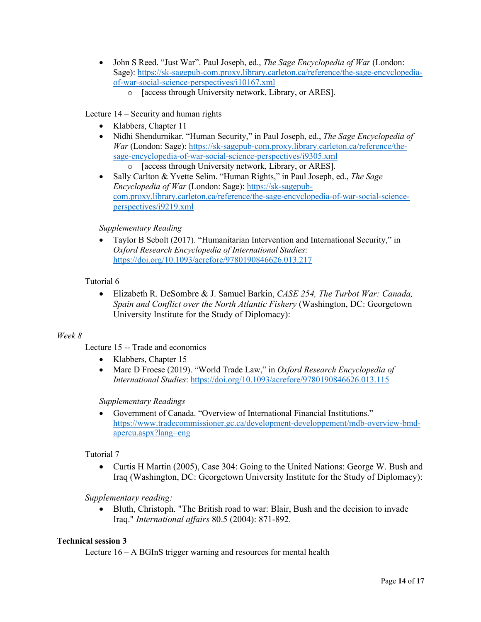- John S Reed. "Just War". Paul Joseph, ed., *The Sage Encyclopedia of War* (London: Sage): https://sk-sagepub-com.proxy.library.carleton.ca/reference/the-sage-encyclopediaof-war-social-science-perspectives/i10167.xml
	- o [access through University network, Library, or ARES].

# Lecture 14 – Security and human rights

- Klabbers, Chapter 11
- Nidhi Shendurnikar. "Human Security," in Paul Joseph, ed., *The Sage Encyclopedia of War* (London: Sage): https://sk-sagepub-com.proxy.library.carleton.ca/reference/thesage-encyclopedia-of-war-social-science-perspectives/i9305.xml o [access through University network, Library, or ARES].
- Sally Carlton & Yvette Selim. "Human Rights," in Paul Joseph, ed., *The Sage Encyclopedia of War* (London: Sage): https://sk-sagepubcom.proxy.library.carleton.ca/reference/the-sage-encyclopedia-of-war-social-scienceperspectives/i9219.xml

# *Supplementary Reading*

• Taylor B Sebolt (2017). "Humanitarian Intervention and International Security," in *Oxford Research Encyclopedia of International Studies*: https://doi.org/10.1093/acrefore/9780190846626.013.217

# Tutorial 6

• Elizabeth R. DeSombre & J. Samuel Barkin, *CASE 254, The Turbot War: Canada, Spain and Conflict over the North Atlantic Fishery* (Washington, DC: Georgetown University Institute for the Study of Diplomacy):

#### *Week 8*

Lecture 15 -- Trade and economics

- Klabbers, Chapter 15
- Marc D Froese (2019). "World Trade Law," in *Oxford Research Encyclopedia of International Studies*: https://doi.org/10.1093/acrefore/9780190846626.013.115

#### *Supplementary Readings*

• Government of Canada. "Overview of International Financial Institutions." https://www.tradecommissioner.gc.ca/development-developpement/mdb-overview-bmdapercu.aspx?lang=eng

#### Tutorial 7

• Curtis H Martin (2005), Case 304: Going to the United Nations: George W. Bush and Iraq (Washington, DC: Georgetown University Institute for the Study of Diplomacy):

*Supplementary reading:*

• Bluth, Christoph. "The British road to war: Blair, Bush and the decision to invade Iraq." *International affairs* 80.5 (2004): 871-892.

#### **Technical session 3**

Lecture 16 – A BGInS trigger warning and resources for mental health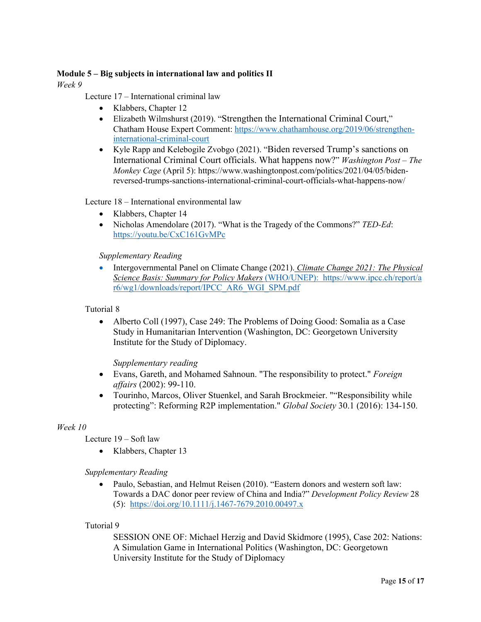# **Module 5 – Big subjects in international law and politics II**

*Week 9*

Lecture 17 – International criminal law

- Klabbers, Chapter 12
- Elizabeth Wilmshurst (2019). "Strengthen the International Criminal Court," Chatham House Expert Comment: https://www.chathamhouse.org/2019/06/strengtheninternational-criminal-court
- Kyle Rapp and Kelebogile Zvobgo (2021). "Biden reversed Trump's sanctions on International Criminal Court officials. What happens now?" *Washington Post – The Monkey Cage* (April 5): https://www.washingtonpost.com/politics/2021/04/05/bidenreversed-trumps-sanctions-international-criminal-court-officials-what-happens-now/

Lecture 18 – International environmental law

- Klabbers, Chapter 14
- Nicholas Amendolare (2017). "What is the Tragedy of the Commons?" *TED-Ed*: https://youtu.be/CxC161GvMPc

*Supplementary Reading*

• Intergovernmental Panel on Climate Change (2021). *Climate Change 2021: The Physical Science Basis: Summary for Policy Makers* (WHO/UNEP): https://www.ipcc.ch/report/a r6/wg1/downloads/report/IPCC\_AR6\_WGI\_SPM.pdf

Tutorial 8

• Alberto Coll (1997), Case 249: The Problems of Doing Good: Somalia as a Case Study in Humanitarian Intervention (Washington, DC: Georgetown University Institute for the Study of Diplomacy.

*Supplementary reading*

- Evans, Gareth, and Mohamed Sahnoun. "The responsibility to protect." *Foreign affairs* (2002): 99-110.
- Tourinho, Marcos, Oliver Stuenkel, and Sarah Brockmeier. ""Responsibility while protecting": Reforming R2P implementation." *Global Society* 30.1 (2016): 134-150.

#### *Week 10*

Lecture 19 – Soft law

• Klabbers, Chapter 13

*Supplementary Reading*

• Paulo, Sebastian, and Helmut Reisen (2010). "Eastern donors and western soft law: Towards a DAC donor peer review of China and India?" *Development Policy Review* 28 (5): https://doi.org/10.1111/j.1467-7679.2010.00497.x

#### Tutorial 9

SESSION ONE OF: Michael Herzig and David Skidmore (1995), Case 202: Nations: A Simulation Game in International Politics (Washington, DC: Georgetown University Institute for the Study of Diplomacy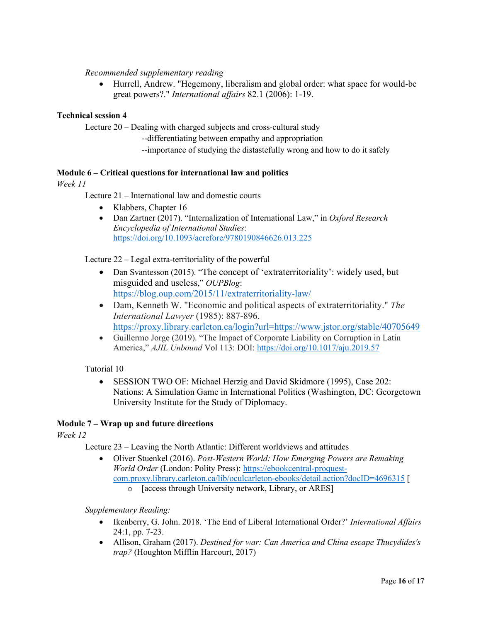# *Recommended supplementary reading*

• Hurrell, Andrew. "Hegemony, liberalism and global order: what space for would-be great powers?." *International affairs* 82.1 (2006): 1-19.

## **Technical session 4**

Lecture 20 – Dealing with charged subjects and cross-cultural study

--differentiating between empathy and appropriation

--importance of studying the distastefully wrong and how to do it safely

# **Module 6 – Critical questions for international law and politics**

*Week 11*

Lecture 21 – International law and domestic courts

- Klabbers, Chapter 16
- Dan Zartner (2017). "Internalization of International Law," in *Oxford Research Encyclopedia of International Studies*: https://doi.org/10.1093/acrefore/9780190846626.013.225

Lecture 22 – Legal extra-territoriality of the powerful

- Dan Svantesson (2015). "The concept of 'extraterritoriality': widely used, but misguided and useless," *OUPBlog*: https://blog.oup.com/2015/11/extraterritoriality-law/
- Dam, Kenneth W. "Economic and political aspects of extraterritoriality." *The International Lawyer* (1985): 887-896. https://proxy.library.carleton.ca/login?url=https://www.jstor.org/stable/40705649
- Guillermo Jorge (2019). "The Impact of Corporate Liability on Corruption in Latin America," *AJIL Unbound* Vol 113: DOI: https://doi.org/10.1017/aju.2019.57

Tutorial 10

• SESSION TWO OF: Michael Herzig and David Skidmore (1995), Case 202: Nations: A Simulation Game in International Politics (Washington, DC: Georgetown University Institute for the Study of Diplomacy.

#### **Module 7 – Wrap up and future directions**

*Week 12*

Lecture 23 – Leaving the North Atlantic: Different worldviews and attitudes

- Oliver Stuenkel (2016). *Post-Western World: How Emerging Powers are Remaking World Order* (London: Polity Press): https://ebookcentral-proquestcom.proxy.library.carleton.ca/lib/oculcarleton-ebooks/detail.action?docID=4696315 [
	- o [access through University network, Library, or ARES]

*Supplementary Reading:*

- Ikenberry, G. John. 2018. 'The End of Liberal International Order?' *International Affairs*  24:1, pp. 7-23.
- Allison, Graham (2017). *Destined for war: Can America and China escape Thucydides's trap?* (Houghton Mifflin Harcourt, 2017)